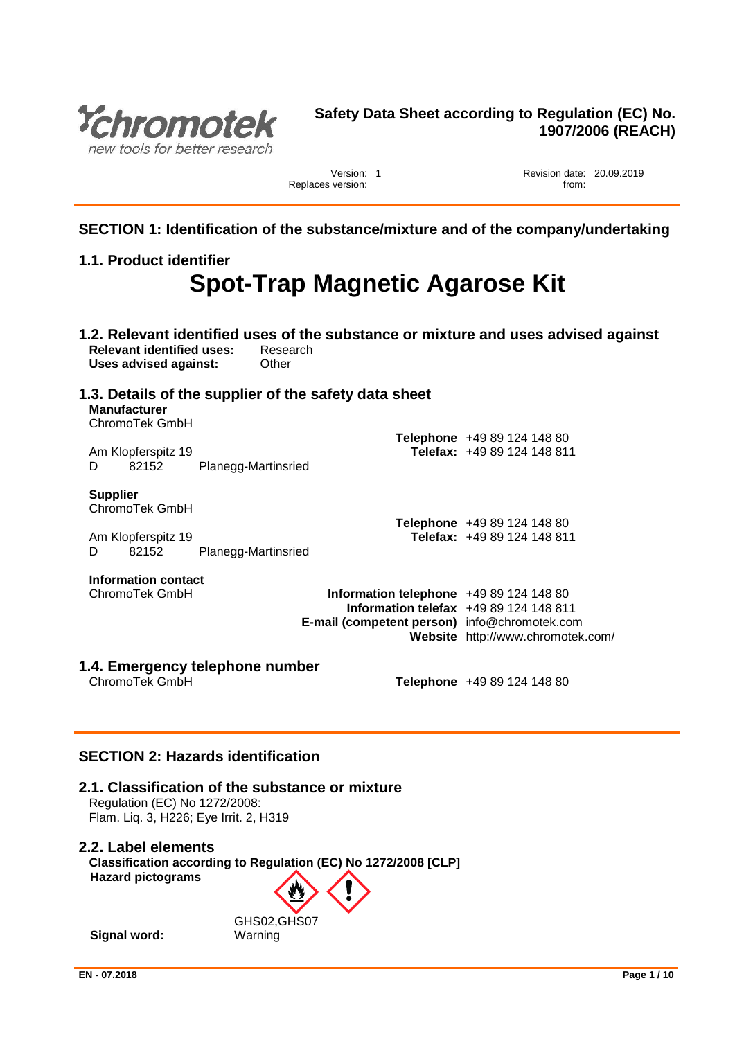

### **Safety Data Sheet according to Regulation (EC) No. 1907/2006 (REACH)**

Replaces version:

Version: 1 **New Solution 20.09.2019**<br>version: from: from:

**SECTION 1: Identification of the substance/mixture and of the company/undertaking**

### **1.1. Product identifier**

# **Spot-Trap Magnetic Agarose Kit**

| <b>Relevant identified uses:</b><br>Uses advised against: | Other               | Research                                                                                                                        | 1.2. Relevant identified uses of the substance or mixture and uses advised against |
|-----------------------------------------------------------|---------------------|---------------------------------------------------------------------------------------------------------------------------------|------------------------------------------------------------------------------------|
| <b>Manufacturer</b><br>ChromoTek GmbH                     |                     | 1.3. Details of the supplier of the safety data sheet                                                                           |                                                                                    |
| Am Klopferspitz 19<br>82152<br>D                          | Planegg-Martinsried |                                                                                                                                 | Telephone +49 89 124 148 80<br>Telefax: +49 89 124 148 811                         |
| <b>Supplier</b><br>ChromoTek GmbH                         |                     |                                                                                                                                 | Telephone +49 89 124 148 80                                                        |
| Am Klopferspitz 19<br>82152<br>D                          | Planegg-Martinsried |                                                                                                                                 | Telefax: +49 89 124 148 811                                                        |
| Information contact<br>ChromoTek GmbH                     |                     | Information telephone +49 89 124 148 80<br>Information telefax $+4989124148811$<br>E-mail (competent person) info@chromotek.com | Website http://www.chromotek.com/                                                  |
| 1.4. Emergency telephone number<br>ChromoTek GmbH         |                     |                                                                                                                                 | Telephone +49 89 124 148 80                                                        |

### **SECTION 2: Hazards identification**

### **2.1. Classification of the substance or mixture**

Regulation (EC) No 1272/2008: Flam. Liq. 3, H226; Eye Irrit. 2, H319

### **2.2. Label elements**

**Classification according to Regulation (EC) No 1272/2008 [CLP] Hazard pictograms**

GHS02,GHS07 **Signal word:** Warning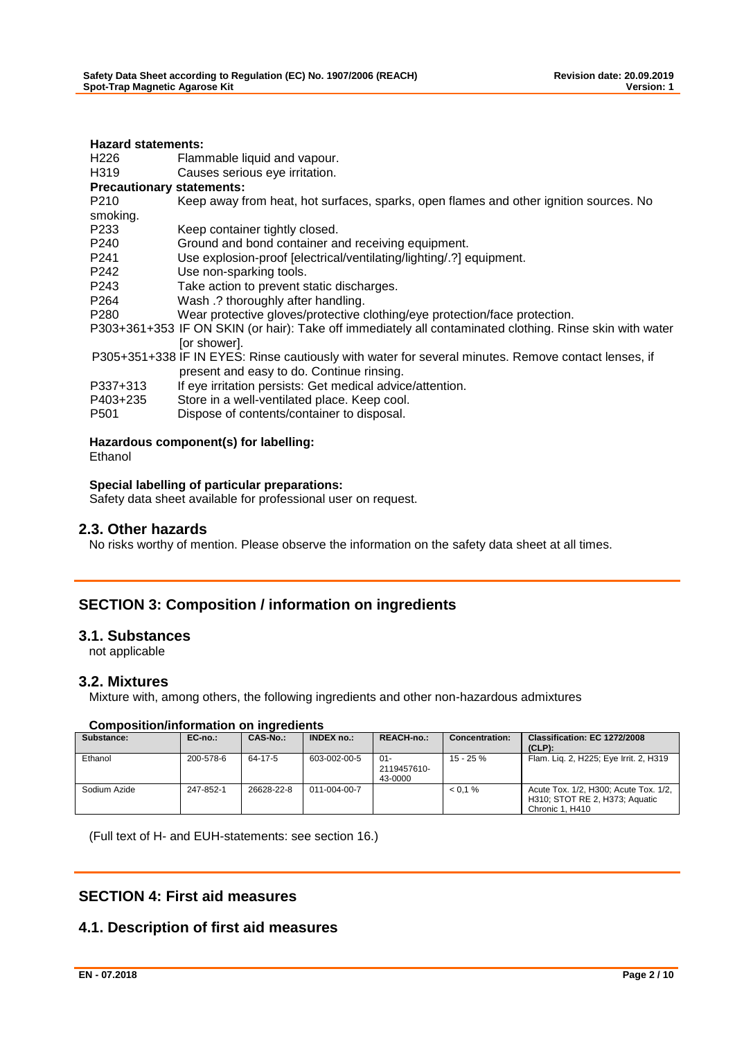| <b>Hazard statements:</b>        |                                                                                                          |
|----------------------------------|----------------------------------------------------------------------------------------------------------|
| H226                             | Flammable liquid and vapour.                                                                             |
| H319                             | Causes serious eye irritation.                                                                           |
| <b>Precautionary statements:</b> |                                                                                                          |
| P <sub>210</sub>                 | Keep away from heat, hot surfaces, sparks, open flames and other ignition sources. No                    |
| smoking.                         |                                                                                                          |
| P <sub>2</sub> 33                | Keep container tightly closed.                                                                           |
| P240                             | Ground and bond container and receiving equipment.                                                       |
| P241                             | Use explosion-proof [electrical/ventilating/lighting/.?] equipment.                                      |
| P242                             | Use non-sparking tools.                                                                                  |
| P243                             | Take action to prevent static discharges.                                                                |
| P <sub>264</sub>                 | Wash .? thoroughly after handling.                                                                       |
| P280                             | Wear protective gloves/protective clothing/eye protection/face protection.                               |
|                                  | P303+361+353 IF ON SKIN (or hair): Take off immediately all contaminated clothing. Rinse skin with water |
|                                  | [or shower].                                                                                             |
|                                  | P305+351+338 IF IN EYES: Rinse cautiously with water for several minutes. Remove contact lenses, if      |
|                                  | present and easy to do. Continue rinsing.                                                                |
| P337+313                         | If eye irritation persists: Get medical advice/attention.                                                |
| P403+235                         | Store in a well-ventilated place. Keep cool.                                                             |
| P <sub>501</sub>                 | Dispose of contents/container to disposal.                                                               |
| Ethanol                          | Hazardous component(s) for labelling:                                                                    |

#### **Special labelling of particular preparations:**

Safety data sheet available for professional user on request.

### **2.3. Other hazards**

No risks worthy of mention. Please observe the information on the safety data sheet at all times.

### **SECTION 3: Composition / information on ingredients**

### **3.1. Substances**

not applicable

### **3.2. Mixtures**

Mixture with, among others, the following ingredients and other non-hazardous admixtures

#### **Composition/information on ingredients**

| Substance:   | $EC-no.$ : | CAS-No.:   | INDEX no.:           | <b>REACH-no.:</b>                | <b>Concentration:</b> | Classification: EC 1272/2008<br>$(CLP)$ :                                                  |
|--------------|------------|------------|----------------------|----------------------------------|-----------------------|--------------------------------------------------------------------------------------------|
| Ethanol      | 200-578-6  | 64-17-5    | 603-002-00-5         | $01 -$<br>2119457610-<br>43-0000 | $15 - 25 \%$          | Flam. Lig. 2, H225; Eye Irrit. 2, H319                                                     |
| Sodium Azide | 247-852-1  | 26628-22-8 | $011 - 004 - 00 - 7$ |                                  | $< 0.1 \%$            | Acute Tox. 1/2, H300; Acute Tox. 1/2,<br>H310; STOT RE 2, H373; Aquatic<br>Chronic 1. H410 |

(Full text of H- and EUH-statements: see section 16.)

### **SECTION 4: First aid measures**

### **4.1. Description of first aid measures**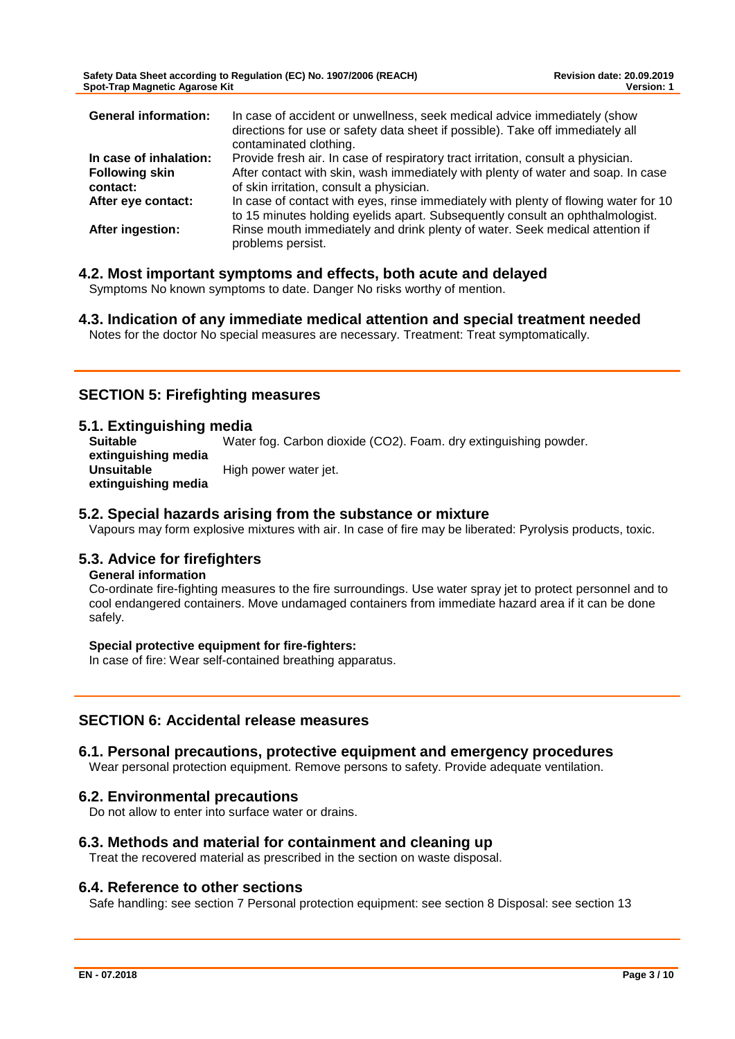**Safety Data Sheet according to Regulation (EC) No. 1907/2006 (REACH) Revision date: 20.09.2019 Spot-Trap Magnetic Agarose Kit** 

| <b>General information:</b> | In case of accident or unwellness, seek medical advice immediately (show<br>directions for use or safety data sheet if possible). Take off immediately all<br>contaminated clothing. |
|-----------------------------|--------------------------------------------------------------------------------------------------------------------------------------------------------------------------------------|
| In case of inhalation:      | Provide fresh air. In case of respiratory tract irritation, consult a physician.                                                                                                     |
| <b>Following skin</b>       | After contact with skin, wash immediately with plenty of water and soap. In case                                                                                                     |
| contact:                    | of skin irritation, consult a physician.                                                                                                                                             |
| After eye contact:          | In case of contact with eyes, rinse immediately with plenty of flowing water for 10<br>to 15 minutes holding eyelids apart. Subsequently consult an ophthalmologist.                 |
| After ingestion:            | Rinse mouth immediately and drink plenty of water. Seek medical attention if<br>problems persist.                                                                                    |

### **4.2. Most important symptoms and effects, both acute and delayed**

Symptoms No known symptoms to date. Danger No risks worthy of mention.

**4.3. Indication of any immediate medical attention and special treatment needed** Notes for the doctor No special measures are necessary. Treatment: Treat symptomatically.

### **SECTION 5: Firefighting measures**

### **5.1. Extinguishing media**

**Suitable extinguishing media** Water fog. Carbon dioxide (CO2). Foam. dry extinguishing powder. **Unsuitable extinguishing media** High power water jet.

### **5.2. Special hazards arising from the substance or mixture**

Vapours may form explosive mixtures with air. In case of fire may be liberated: Pyrolysis products, toxic.

### **5.3. Advice for firefighters**

### **General information**

Co-ordinate fire-fighting measures to the fire surroundings. Use water spray jet to protect personnel and to cool endangered containers. Move undamaged containers from immediate hazard area if it can be done safely.

#### **Special protective equipment for fire-fighters:**

In case of fire: Wear self-contained breathing apparatus.

### **SECTION 6: Accidental release measures**

### **6.1. Personal precautions, protective equipment and emergency procedures**

Wear personal protection equipment. Remove persons to safety. Provide adequate ventilation.

### **6.2. Environmental precautions**

Do not allow to enter into surface water or drains.

### **6.3. Methods and material for containment and cleaning up**

Treat the recovered material as prescribed in the section on waste disposal.

### **6.4. Reference to other sections**

Safe handling: see section 7 Personal protection equipment: see section 8 Disposal: see section 13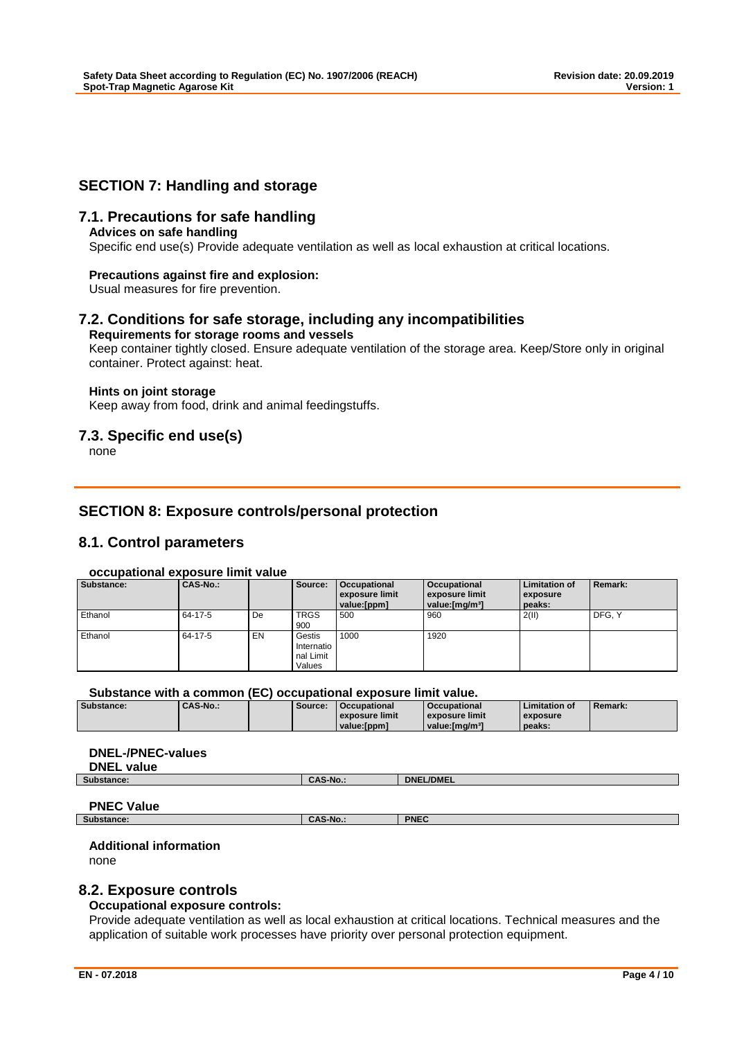### **SECTION 7: Handling and storage**

### **7.1. Precautions for safe handling**

#### **Advices on safe handling**

Specific end use(s) Provide adequate ventilation as well as local exhaustion at critical locations.

#### **Precautions against fire and explosion:**

Usual measures for fire prevention.

#### **7.2. Conditions for safe storage, including any incompatibilities Requirements for storage rooms and vessels**

Keep container tightly closed. Ensure adequate ventilation of the storage area. Keep/Store only in original container. Protect against: heat.

#### **Hints on joint storage**

Keep away from food, drink and animal feedingstuffs.

### **7.3. Specific end use(s)**

none

### **SECTION 8: Exposure controls/personal protection**

### **8.1. Control parameters**

#### **occupational exposure limit value**

| Substance: | CAS-No.: |    | Source:                                     | Occupational<br>exposure limit<br>value:[ppm] | Occupational<br>exposure limit<br>value: [mg/m <sup>3</sup> ] | <b>Limitation of</b><br>exposure<br>peaks: | Remark: |
|------------|----------|----|---------------------------------------------|-----------------------------------------------|---------------------------------------------------------------|--------------------------------------------|---------|
| Ethanol    | 64-17-5  | De | <b>TRGS</b><br>900                          | 500                                           | 960                                                           | 2(11)                                      | DFG. Y  |
| Ethanol    | 64-17-5  | EN | Gestis<br>Internatio<br>nal Limit<br>Values | 1000                                          | 1920                                                          |                                            |         |

#### **Substance with a common (EC) occupational exposure limit value.**

|            |        |         | --------------------------- |                             |                      |                |
|------------|--------|---------|-----------------------------|-----------------------------|----------------------|----------------|
| Substance: | CAS-No | Source: | Occupational                | <b>Occupational</b>         | <b>Limitation of</b> | <b>Remark:</b> |
|            |        |         | exposure limit              | exposure limit              | exposure             |                |
|            |        |         | value:[ppm]                 | value: [mɑ/m <sup>3</sup> ] | peaks:               |                |

### **DNEL-/PNEC-values**

| <b>DNEL</b><br>value |               |                  |
|----------------------|---------------|------------------|
| Substance:           | $^{\sim}$ -No | <b>DNEL/DMEL</b> |
|                      |               |                  |
|                      |               |                  |

# **PNEC Value**<br> **Substance:**

#### **Substance: CAS-No.: PNEC**

#### **Additional information**

none

### **8.2. Exposure controls**

#### **Occupational exposure controls:**

Provide adequate ventilation as well as local exhaustion at critical locations. Technical measures and the application of suitable work processes have priority over personal protection equipment.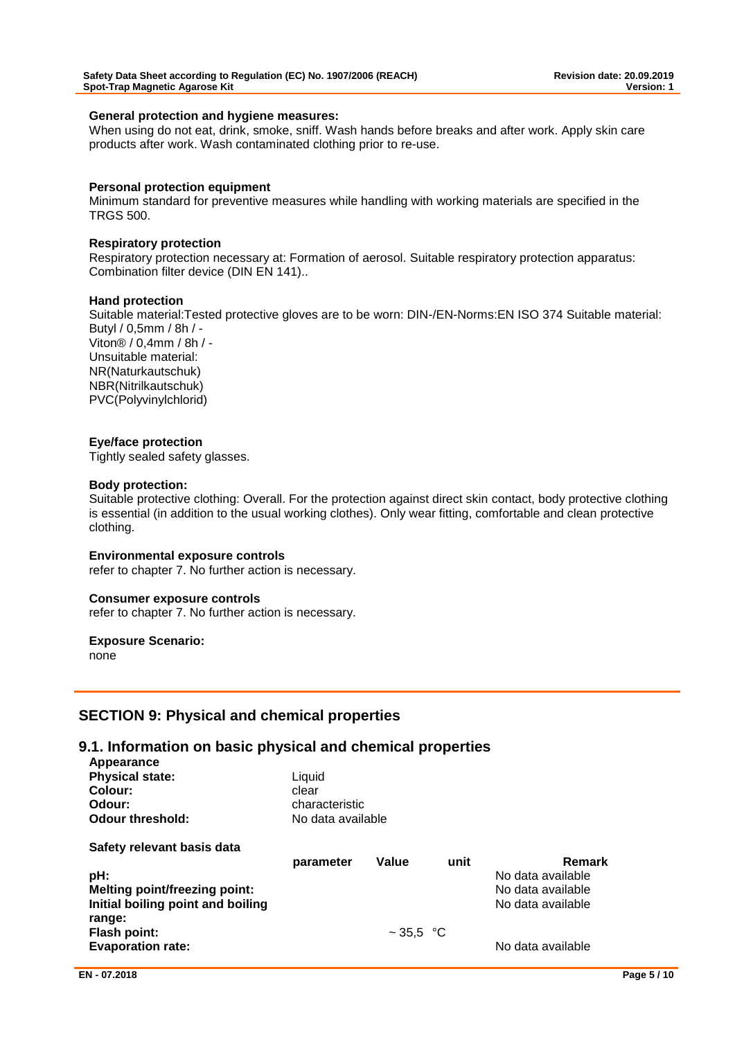#### **General protection and hygiene measures:**

When using do not eat, drink, smoke, sniff. Wash hands before breaks and after work. Apply skin care products after work. Wash contaminated clothing prior to re-use.

#### **Personal protection equipment**

Minimum standard for preventive measures while handling with working materials are specified in the TRGS 500.

#### **Respiratory protection**

Respiratory protection necessary at: Formation of aerosol. Suitable respiratory protection apparatus: Combination filter device (DIN EN 141)..

#### **Hand protection**

Suitable material:Tested protective gloves are to be worn: DIN-/EN-Norms:EN ISO 374 Suitable material: Butyl / 0,5mm / 8h / - Viton® / 0,4mm / 8h / - Unsuitable material: NR(Naturkautschuk) NBR(Nitrilkautschuk) PVC(Polyvinylchlorid)

#### **Eye/face protection**

Tightly sealed safety glasses.

#### **Body protection:**

Suitable protective clothing: Overall. For the protection against direct skin contact, body protective clothing is essential (in addition to the usual working clothes). Only wear fitting, comfortable and clean protective clothing.

#### **Environmental exposure controls**

refer to chapter 7. No further action is necessary.

#### **Consumer exposure controls**

refer to chapter 7. No further action is necessary.

#### **Exposure Scenario:**

none

### **SECTION 9: Physical and chemical properties**

#### **9.1. Information on basic physical and chemical properties Appearance**

| <b>Appearance</b><br><b>Physical state:</b><br>Colour:<br>Odour:<br><b>Odour threshold:</b> | Liquid<br>clear<br>characteristic<br>No data available |                |      |                   |
|---------------------------------------------------------------------------------------------|--------------------------------------------------------|----------------|------|-------------------|
| Safety relevant basis data                                                                  |                                                        |                |      |                   |
|                                                                                             | parameter                                              | Value          | unit | Remark            |
| pH:                                                                                         |                                                        |                |      | No data available |
| <b>Melting point/freezing point:</b>                                                        |                                                        |                |      | No data available |
| Initial boiling point and boiling                                                           |                                                        |                |      | No data available |
| range:                                                                                      |                                                        |                |      |                   |
| <b>Flash point:</b>                                                                         |                                                        | $\sim$ 35,5 °C |      |                   |
| <b>Evaporation rate:</b>                                                                    |                                                        |                |      | No data available |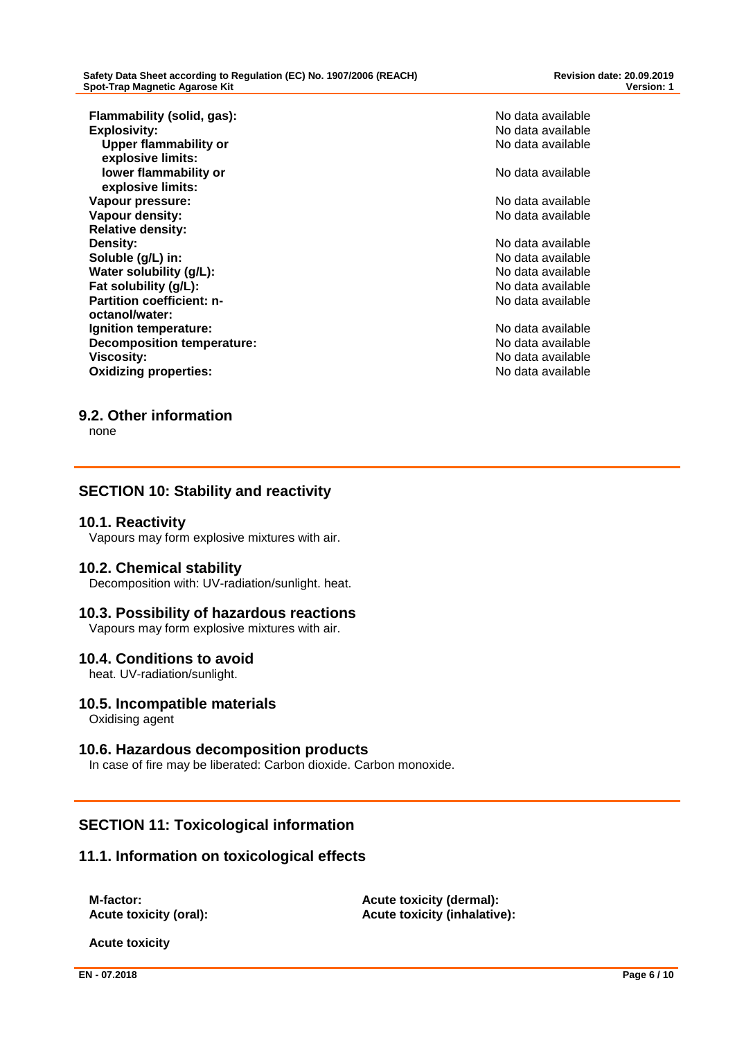**Flammability (solid, gas):** No data available<br> **Explosivity:** No data available<br>
No data available **Upper flammability or explosive limits: lower flammability or explosive limits: Vapour pressure:** No data available by a state of the state of the No data available **Vapour density:** No data available in the set of the set of the set of the No data available in the No data available **Relative density: Density:** No data available **Soluble (g/L) in:** No data available **Water solubility (g/L):** No data available **Fat solubility (g/L):** No data available **Partition coefficient: noctanol/water: Ignition temperature:**  $\qquad \qquad \qquad$  **No data available Decomposition temperature:** No data available **Viscosity:**<br> **Viscosity:**<br> **Oxidizing properties:**<br> **Oxidizing properties:**<br> **No data available Oxidizing properties:** 

**Explosivity:** No data available No data available

No data available

No data available

### **9.2. Other information**

none

### **SECTION 10: Stability and reactivity**

### **10.1. Reactivity**

Vapours may form explosive mixtures with air.

### **10.2. Chemical stability**

Decomposition with: UV-radiation/sunlight. heat.

### **10.3. Possibility of hazardous reactions**

Vapours may form explosive mixtures with air.

### **10.4. Conditions to avoid**

heat. UV-radiation/sunlight.

### **10.5. Incompatible materials**

Oxidising agent

### **10.6. Hazardous decomposition products**

In case of fire may be liberated: Carbon dioxide. Carbon monoxide.

### **SECTION 11: Toxicological information**

### **11.1. Information on toxicological effects**

**M-factor: Acute toxicity (dermal): Acute toxicity (oral): Acute toxicity (inhalative):**

**Acute toxicity**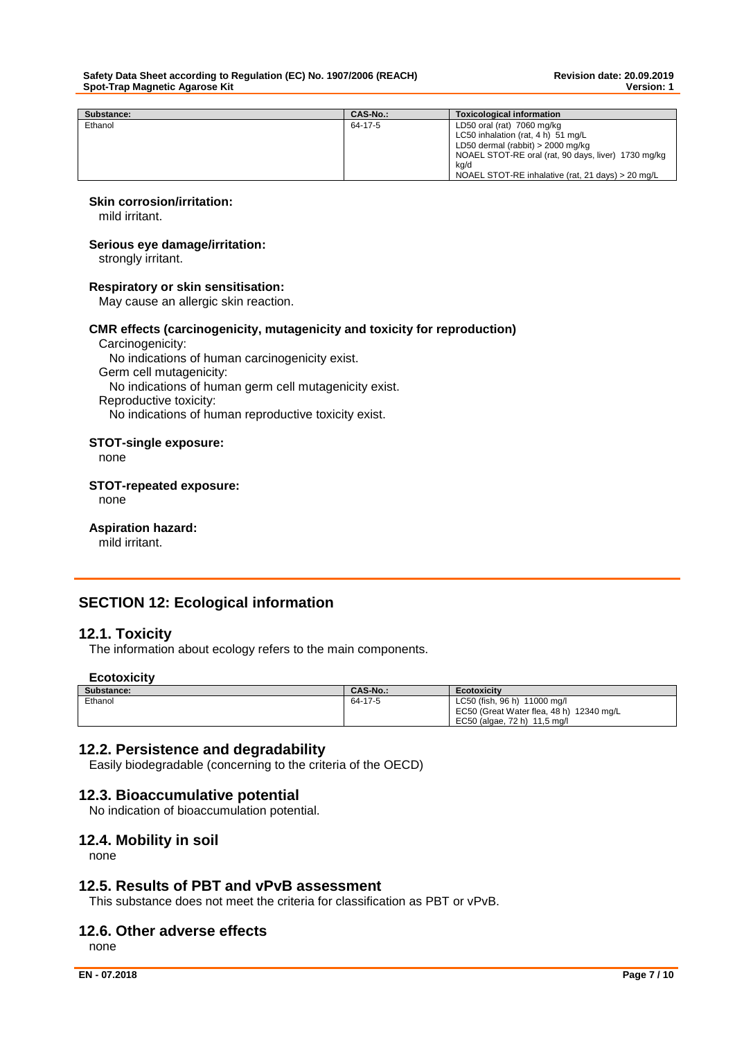| Substance: | CAS-No.: | <b>Toxicological information</b>                    |
|------------|----------|-----------------------------------------------------|
| Ethanol    | 64-17-5  | LD50 oral (rat) 7060 mg/kg                          |
|            |          | LC50 inhalation (rat, 4 h) 51 mg/L                  |
|            |          | LD50 dermal (rabbit) $>$ 2000 mg/kg                 |
|            |          | NOAEL STOT-RE oral (rat, 90 days, liver) 1730 mg/kg |
|            |          | kg/d                                                |
|            |          | NOAEL STOT-RE inhalative (rat, 21 days) > 20 mg/L   |

#### **Skin corrosion/irritation:**

mild irritant.

#### **Serious eye damage/irritation:**

strongly irritant.

#### **Respiratory or skin sensitisation:**

May cause an allergic skin reaction.

#### **CMR effects (carcinogenicity, mutagenicity and toxicity for reproduction)**

Carcinogenicity: No indications of human carcinogenicity exist. Germ cell mutagenicity: No indications of human germ cell mutagenicity exist. Reproductive toxicity: No indications of human reproductive toxicity exist.

#### **STOT-single exposure:**

none

#### **STOT-repeated exposure:**

none

### **Aspiration hazard:**

mild irritant.

### **SECTION 12: Ecological information**

### **12.1. Toxicity**

The information about ecology refers to the main components.

#### **Ecotoxicity**

| Substance: | <b>CAS-No.:</b> | <b>Ecotoxicity</b>                       |
|------------|-----------------|------------------------------------------|
| Ethanol    | 64-17-5         | LC50 (fish, 96 h) 11000 mg/l             |
|            |                 | EC50 (Great Water flea, 48 h) 12340 mg/L |
|            |                 | EC50 (algae, 72 h) 11,5 mg/l             |

### **12.2. Persistence and degradability**

Easily biodegradable (concerning to the criteria of the OECD)

### **12.3. Bioaccumulative potential**

No indication of bioaccumulation potential.

### **12.4. Mobility in soil**

none

#### **12.5. Results of PBT and vPvB assessment**

This substance does not meet the criteria for classification as PBT or vPvB.

### **12.6. Other adverse effects**

none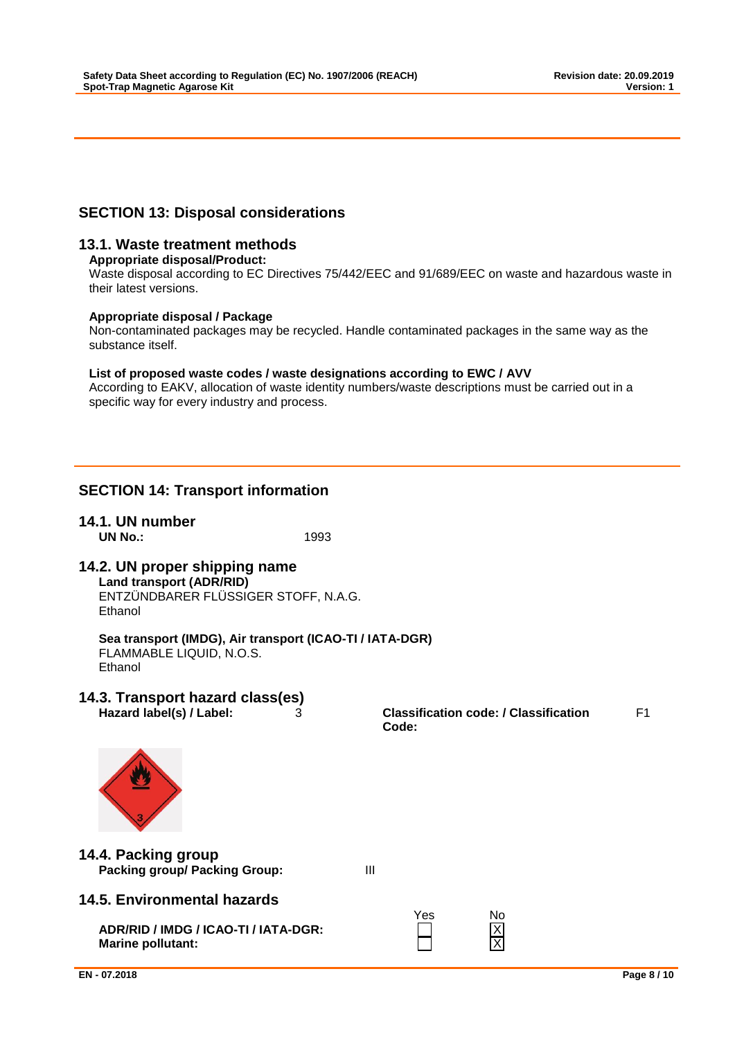### **SECTION 13: Disposal considerations**

### **13.1. Waste treatment methods**

#### **Appropriate disposal/Product:**

Waste disposal according to EC Directives 75/442/EEC and 91/689/EEC on waste and hazardous waste in their latest versions.

#### **Appropriate disposal / Package**

Non-contaminated packages may be recycled. Handle contaminated packages in the same way as the substance itself.

#### **List of proposed waste codes / waste designations according to EWC / AVV**

According to EAKV, allocation of waste identity numbers/waste descriptions must be carried out in a specific way for every industry and process.

### **SECTION 14: Transport information**

#### **14.1. UN number UN No.:** 1993

## **14.2. UN proper shipping name**

**Land transport (ADR/RID)** ENTZÜNDBARER FLÜSSIGER STOFF, N.A.G. Ethanol

### **Sea transport (IMDG), Air transport (ICAO-TI / IATA-DGR)**

FLAMMABLE LIQUID, N.O.S. Ethanol

# **14.3. Transport hazard class(es)**

**Hazard label(s) / Label:** 3 **Classification code: / Classification Code:** F1



### **14.4. Packing group Packing group/ Packing Group:** III

### **14.5. Environmental hazards**

**ADR/RID / IMDG / ICAO-TI / IATA-DGR:** X **Marine pollutant:** 

| es | Nο |
|----|----|
|    | J  |
|    |    |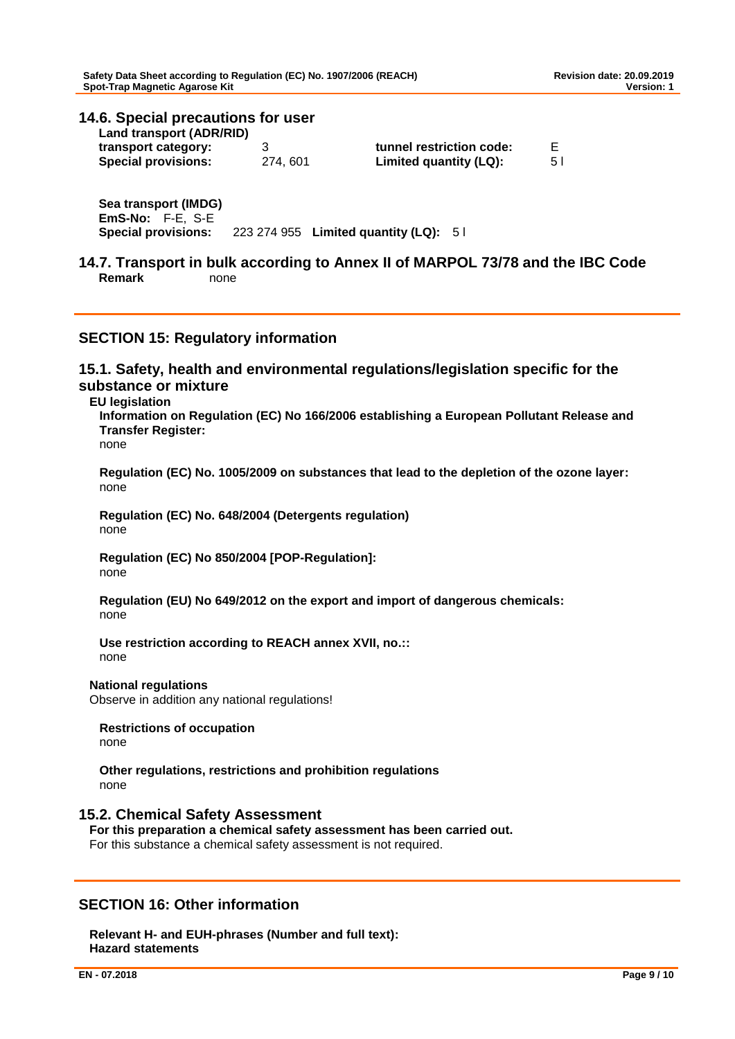## **14.6. Special precautions for user Land transport (ADR/RID)**

| transport category:<br><b>Special provisions:</b> | 274, 601 | tunnel restriction code:<br>Limited quantity (LQ): | 5 I |
|---------------------------------------------------|----------|----------------------------------------------------|-----|
|                                                   |          |                                                    |     |

**Sea transport (IMDG) EmS-No:** F-E, S-E **Special provisions:** 223 274 955 **Limited quantity (LQ):** 5 l

**14.7. Transport in bulk according to Annex II of MARPOL 73/78 and the IBC Code Remark** none

### **SECTION 15: Regulatory information**

**15.1. Safety, health and environmental regulations/legislation specific for the substance or mixture**

**EU legislation**

**Information on Regulation (EC) No 166/2006 establishing a European Pollutant Release and Transfer Register:**

none

**Regulation (EC) No. 1005/2009 on substances that lead to the depletion of the ozone layer:** none

**Regulation (EC) No. 648/2004 (Detergents regulation)** none

**Regulation (EC) No 850/2004 [POP-Regulation]:** none

**Regulation (EU) No 649/2012 on the export and import of dangerous chemicals:** none

**Use restriction according to REACH annex XVII, no.::** none

**National regulations**

Observe in addition any national regulations!

**Restrictions of occupation** none

**Other regulations, restrictions and prohibition regulations** none

### **15.2. Chemical Safety Assessment**

**For this preparation a chemical safety assessment has been carried out.** For this substance a chemical safety assessment is not required.

### **SECTION 16: Other information**

**Relevant H- and EUH-phrases (Number and full text): Hazard statements**